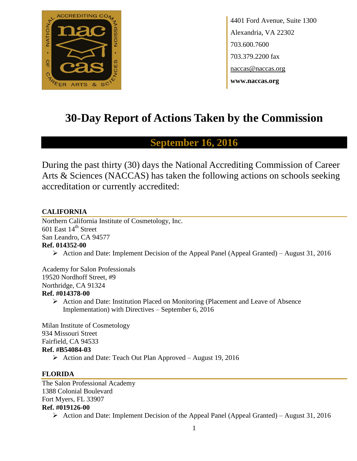

4401 Ford Avenue, Suite 1300 Alexandria, VA 22302 703.600.7600 703.379.2200 fax naccas@naccas.org **www.naccas.org**

# **30-Day Report of Actions Taken by the Commission**

# **September 16, 2016**

During the past thirty (30) days the National Accrediting Commission of Career Arts & Sciences (NACCAS) has taken the following actions on schools seeking accreditation or currently accredited:

# **CALIFORNIA**

Northern California Institute of Cosmetology, Inc. 601 East  $14<sup>th</sup>$  Street San Leandro, CA 94577 **Ref. 014352-00**

 $\triangleright$  Action and Date: Implement Decision of the Appeal Panel (Appeal Granted) – August 31, 2016

Academy for Salon Professionals 19520 Nordhoff Street, #9 Northridge, CA 91324 **Ref. #014378-00**

> $\triangleright$  Action and Date: Institution Placed on Monitoring (Placement and Leave of Absence Implementation) with Directives – September 6, 2016

Milan Institute of Cosmetology 934 Missouri Street Fairfield, CA 94533 **Ref. #B54084-03** Action and Date: Teach Out Plan Approved – August 19, 2016

# **FLORIDA**

The Salon Professional Academy 1388 Colonial Boulevard Fort Myers, FL 33907 **Ref. #019126-00**

 $\triangleright$  Action and Date: Implement Decision of the Appeal Panel (Appeal Granted) – August 31, 2016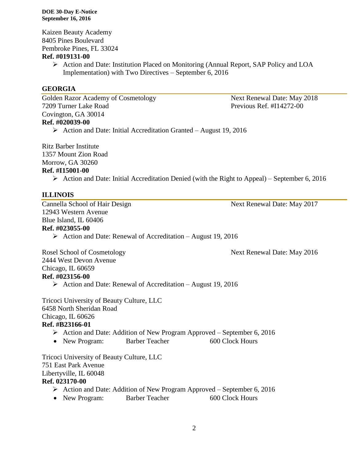#### **DOE 30-Day E-Notice September 16, 2016**

Kaizen Beauty Academy 8405 Pines Boulevard Pembroke Pines, FL 33024

### **Ref. #019131-00**

 $\triangleright$  Action and Date: Institution Placed on Monitoring (Annual Report, SAP Policy and LOA Implementation) with Two Directives – September 6, 2016

# **GEORGIA**

Golden Razor Academy of Cosmetology Next Renewal Date: May 2018 7209 Turner Lake Road Previous Ref. #I14272-00 Covington, GA 30014 **Ref. #020039-00**

 $\triangleright$  Action and Date: Initial Accreditation Granted – August 19, 2016

Ritz Barber Institute 1357 Mount Zion Road Morrow, GA 30260 **Ref. #I15001-00**

 $\triangleright$  Action and Date: Initial Accreditation Denied (with the Right to Appeal) – September 6, 2016

## **ILLINOIS**

Cannella School of Hair Design Next Renewal Date: May 2017 12943 Western Avenue Blue Island, IL 60406 **Ref. #023055-00**  $\triangleright$  Action and Date: Renewal of Accreditation – August 19, 2016

Rosel School of Cosmetology Next Renewal Date: May 2016

2444 West Devon Avenue Chicago, IL 60659 **Ref. #023156-00**

Action and Date: Renewal of Accreditation – August 19, 2016

Tricoci University of Beauty Culture, LLC 6458 North Sheridan Road Chicago, IL 60626 **Ref. #B23166-01**

- $\triangleright$  Action and Date: Addition of New Program Approved September 6, 2016
- New Program: Barber Teacher 600 Clock Hours

Tricoci University of Beauty Culture, LLC 751 East Park Avenue Libertyville, IL 60048 **Ref. 023170-00**

- $\triangleright$  Action and Date: Addition of New Program Approved September 6, 2016
- New Program: Barber Teacher 600 Clock Hours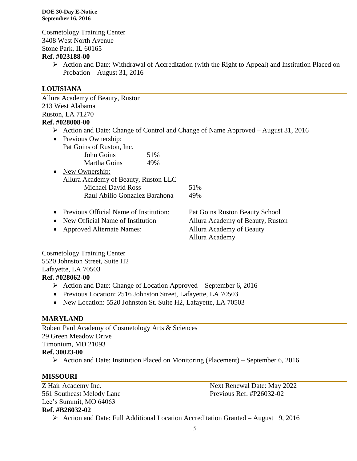Cosmetology Training Center 3408 West North Avenue Stone Park, IL 60165

### **Ref. #023188-00**

 $\triangleright$  Action and Date: Withdrawal of Accreditation (with the Right to Appeal) and Institution Placed on Probation – August 31, 2016

# **LOUISIANA**

Allura Academy of Beauty, Ruston 213 West Alabama Ruston, LA 71270

# **Ref. #028008-00**

 $\triangleright$  Action and Date: Change of Control and Change of Name Approved – August 31, 2016

|           | • Previous Ownership:                    |                                |  |
|-----------|------------------------------------------|--------------------------------|--|
|           | Pat Goins of Ruston, Inc.                |                                |  |
|           | John Goins<br>51%                        |                                |  |
|           | Martha Goins<br>49%                      |                                |  |
| $\bullet$ | New Ownership:                           |                                |  |
|           | Allura Academy of Beauty, Ruston LLC     |                                |  |
|           | <b>Michael David Ross</b>                | 51%                            |  |
|           | Raul Abilio Gonzalez Barahona            | 49%                            |  |
|           |                                          |                                |  |
|           | • Previous Official Name of Institution: | Pat Goins Ruston Beauty School |  |

- New Official Name of Institution Allura Academy of Beauty, Ruston
- Approved Alternate Names: Allura Academy of Beauty

Allura Academy

Cosmetology Training Center 5520 Johnston Street, Suite H2 Lafayette, LA 70503 **Ref. #028062-00**

- $\triangleright$  Action and Date: Change of Location Approved September 6, 2016
- Previous Location: 2516 Johnston Street, Lafayette, LA 70503
- New Location: 5520 Johnston St. Suite H2, Lafayette, LA 70503

# **MARYLAND**

Robert Paul Academy of Cosmetology Arts & Sciences 29 Green Meadow Drive Timonium, MD 21093 **Ref. 30023-00**  $\triangleright$  Action and Date: Institution Placed on Monitoring (Placement) – September 6, 2016

# **MISSOURI**

561 Southeast Melody Lane Previous Ref. #P26032-02 Lee's Summit, MO 64063 **Ref. #B26032-02**

Z Hair Academy Inc. Next Renewal Date: May 2022

Action and Date: Full Additional Location Accreditation Granted – August 19, 2016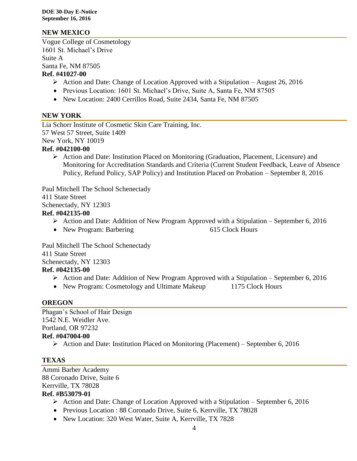# **NEW MEXICO**

Vogue College of Cosmetology 1601 St. Michael's Drive Suite A Santa Fe, NM 87505 **Ref. #41027-00**

- $\triangleright$  Action and Date: Change of Location Approved with a Stipulation August 26, 2016
- Previous Location: 1601 St. Michael's Drive, Suite A, Santa Fe, NM 87505
- New Location: 2400 Cerrillos Road, Suite 2434, Santa Fe, NM 87505

## **NEW YORK**

Lia Schorr Institute of Cosmetic Skin Care Training, Inc. 57 West 57 Street, Suite 1409 New York, NY 10019

# **Ref. #042100-00**

 $\triangleright$  Action and Date: Institution Placed on Monitoring (Graduation, Placement, Licensure) and Monitoring for Accreditation Standards and Criteria (Current Student Feedback, Leave of Absence Policy, Refund Policy, SAP Policy) and Institution Placed on Probation – September 8, 2016

Paul Mitchell The School Schenectady 411 State Street Schenectady, NY 12303 **Ref. #042135-00**

- $\triangleright$  Action and Date: Addition of New Program Approved with a Stipulation September 6, 2016
- New Program: Barbering 615 Clock Hours

Paul Mitchell The School Schenectady 411 State Street Schenectady, NY 12303 **Ref. #042135-00**

- $\triangleright$  Action and Date: Addition of New Program Approved with a Stipulation September 6, 2016
- New Program: Cosmetology and Ultimate Makeup 1175 Clock Hours

#### **OREGON**

Phagan's School of Hair Design 1542 N.E. Weidler Ave. Portland, OR 97232 **Ref. #047004-00**

Action and Date: Institution Placed on Monitoring (Placement) – September 6, 2016

# **TEXAS**

Ammi Barber Academy 88 Coronado Drive, Suite 6 Kerrville, TX 78028 **Ref. #B53079-01**

# Action and Date: Change of Location Approved with a Stipulation – September 6, 2016

- Previous Location : 88 Coronado Drive, Suite 6, Kerrville, TX 78028
- New Location: 320 West Water, Suite A, Kerrville, TX 7828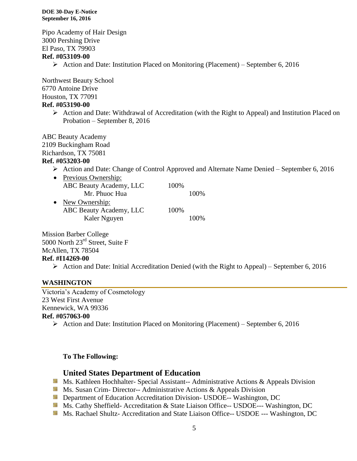#### **DOE 30-Day E-Notice September 16, 2016**

Pipo Academy of Hair Design 3000 Pershing Drive El Paso, TX 79903

# **Ref. #053109-00**

Action and Date: Institution Placed on Monitoring (Placement) – September 6, 2016

Northwest Beauty School 6770 Antoine Drive Houston, TX 77091 **Ref. #053190-00**

> $\triangleright$  Action and Date: Withdrawal of Accreditation (with the Right to Appeal) and Institution Placed on Probation – September 8, 2016

ABC Beauty Academy

2109 Buckingham Road

Richardson, TX 75081

#### **Ref. #053203-00**

Action and Date: Change of Control Approved and Alternate Name Denied – September 6, 2016

| • Previous Ownership:   |       |       |
|-------------------------|-------|-------|
| ABC Beauty Academy, LLC | 100\% |       |
| Mr. Phuoc Hua           |       | 100\% |
| • New Ownership:        |       |       |

ABC Beauty Academy, LLC 100% Kaler Nguyen 100%

Mission Barber College 5000 North 23<sup>rd</sup> Street, Suite F McAllen, TX 78504

#### **Ref. #I14269-00**

Action and Date: Initial Accreditation Denied (with the Right to Appeal) – September 6, 2016

#### **WASHINGTON**

Victoria's Academy of Cosmetology 23 West First Avenue Kennewick, WA 99336 **Ref. #057063-00**

Action and Date: Institution Placed on Monitoring (Placement) – September 6, 2016

#### **To The Following:**

#### **United States Department of Education**

- **Ms. Kathleen Hochhalter- Special Assistant-- Administrative Actions & Appeals Division**
- **Ms.** Susan Crim-Director-- Administrative Actions  $\&$  Appeals Division
- **Department of Education Accreditation Division- USDOE-- Washington, DC**
- Ms. Cathy Sheffield- Accreditation & State Liaison Office-- USDOE--- Washington, DC
- Ms. Rachael Shultz- Accreditation and State Liaison Office-- USDOE --- Washington, DC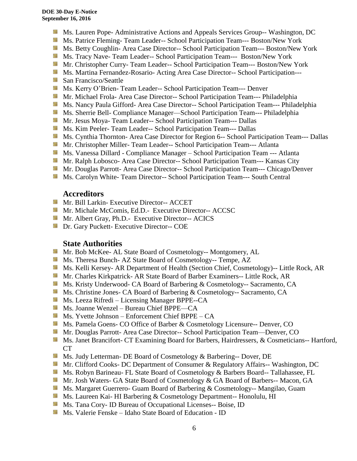- **Ms. Lauren Pope- Administrative Actions and Appeals Services Group-- Washington, DC**
- Ms. Patrice Fleming-Team Leader-- School Participation Team--- Boston/New York
- **MS. Betty Coughlin- Area Case Director-- School Participation Team--- Boston/New York**
- **MS. Tracy Nave-Team Leader-- School Participation Team--- Boston/New York**
- Mr. Christopher Curry- Team Leader-- School Participation Team--- Boston/New York
- **Ms. Martina Fernandez-Rosario-Acting Area Case Director-- School Participation---**
- San Francisco/Seattle
- Ms. Kerry O'Brien- Team Leader-- School Participation Team--- Denver
- **Mr. Michael Frola- Area Case Director-- School Participation Team--- Philadelphia**
- Ms. Nancy Paula Gifford- Area Case Director-- School Participation Team--- Philadelphia
- **Ms. Sherrie Bell- Compliance Manager—School Participation Team--- Philadelphia**
- **Mr. Jesus Moya- Team Leader-- School Participation Team--- Dallas**
- Ms. Kim Peeler- Team Leader-- School Participation Team--- Dallas
- Ms. Cynthia Thornton- Area Case Director for Region 6-- School Participation Team--- Dallas
- **Mr. Christopher Miller-Team Leader-- School Participation Team--- Atlanta**
- **Ms. Vanessa Dillard Compliance Manager School Participation Team --- Atlanta**
- Mr. Ralph Lobosco- Area Case Director-- School Participation Team--- Kansas City
- **Mr. Douglas Parrott- Area Case Director-- School Participation Team--- Chicago/Denver**
- **Ms. Carolyn White- Team Director-- School Participation Team--- South Central**

#### **Accreditors**

- **Mr. Bill Larkin- Executive Director-- ACCET**
- **Mr. Michale McComis, Ed.D.- Executive Director-- ACCSC**
- **Mr.** Albert Gray, Ph.D.- Executive Director-- ACICS
- **Dr.** Gary Puckett- Executive Director-- COE

#### **State Authorities**

- **Mr. Bob McKee- AL State Board of Cosmetology-- Montgomery, AL**
- Ms. Theresa Bunch- AZ State Board of Cosmetology-- Tempe, AZ
- Ms. Kelli Kersey- AR Department of Health (Section Chief, Cosmetology)-- Little Rock, AR
- Mr. Charles Kirkpatrick- AR State Board of Barber Examiners-- Little Rock, AR
- Ms. Kristy Underwood- CA Board of Barbering & Cosmetology-- Sacramento, CA
- Ms. Christine Jones- CA Board of Barbering & Cosmetology-- Sacramento, CA
- Ms. Leeza Rifredi Licensing Manager BPPE--CA
- Ms. Joanne Wenzel Bureau Chief BPPE—CA
- Ms. Yvette Johnson Enforcement Chief BPPE CA
- Ms. Pamela Goens- CO Office of Barber & Cosmetology Licensure-- Denver, CO
- **Mr. Douglas Parrott- Area Case Director-- School Participation Team—Denver, CO**
- Ms. Janet Brancifort- CT Examining Board for Barbers, Hairdressers, & Cosmeticians-- Hartford, CT
- **Ms. Judy Letterman- DE Board of Cosmetology & Barbering-- Dover, DE**
- Mr. Clifford Cooks- DC Department of Consumer & Regulatory Affairs-- Washington, DC
- Ms. Robyn Barineau- FL State Board of Cosmetology & Barbers Board-- Tallahassee, FL
- Mr. Josh Waters- GA State Board of Cosmetology & GA Board of Barbers-- Macon, GA
- **MS. Margaret Guerrero- Guam Board of Barbering & Cosmetology-- Mangilao, Guam**
- Ms. Laureen Kai- HI Barbering & Cosmetology Department-- Honolulu, HI
- **Ms.** Tana Cory- ID Bureau of Occupational Licenses-- Boise, ID
- **Ms. Valerie Fenske Idaho State Board of Education ID**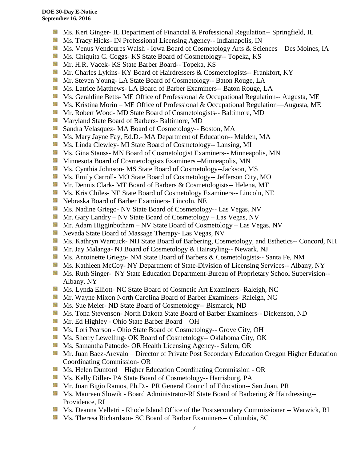- **Ms. Keri Ginger- IL Department of Financial & Professional Regulation-- Springfield, IL**
- **MS.** Tracy Hicks- IN Professional Licensing Agency-- Indianapolis, IN
- Ms. Venus Vendoures Walsh Iowa Board of Cosmetology Arts & Sciences—Des Moines, IA
- **Ms.** Chiquita C. Coggs- KS State Board of Cosmetology-- Topeka, KS
- Mr. H.R. Vacek- KS State Barber Board-- Topeka, KS
- **Mr. Charles Lykins- KY Board of Hairdressers & Cosmetologists-- Frankfort, KY**
- **Mr.** Steven Young-LA State Board of Cosmetology-- Baton Rouge, LA
- **Ms. Latrice Matthews- LA Board of Barber Examiners-- Baton Rouge, LA**
- Ms. Geraldine Betts- ME Office of Professional & Occupational Regulation-- Augusta, ME
- Ms. Kristina Morin ME Office of Professional & Occupational Regulation—Augusta, ME
- **Mr. Robert Wood- MD State Board of Cosmetologists-- Baltimore, MD**
- **Maryland State Board of Barbers- Baltimore, MD**
- Sandra Velasquez- MA Board of Cosmetology-- Boston, MA
- Ms. Mary Jayne Fay, Ed.D.- MA Department of Education-- Malden, MA
- **Ms.** Linda Clewley- MI State Board of Cosmetology-- Lansing, MI
- **MS.** Gina Stauss- MN Board of Cosmetologist Examiners-- Minneapolis, MN
- **M** Minnesota Board of Cosmetologists Examiners –Minneapolis, MN
- Ms. Cynthia Johnson- MS State Board of Cosmetology--Jackson, MS
- Ms. Emily Carroll- MO State Board of Cosmetology-- Jefferson City, MO
- Mr. Dennis Clark- MT Board of Barbers & Cosmetologists-- Helena, MT
- **MS.** Kris Chiles- NE State Board of Cosmetology Examiners-- Lincoln, NE
- Nebraska Board of Barber Examiners- Lincoln, NE
- Ms. Nadine Griego- NV State Board of Cosmetology-- Las Vegas, NV
- Mr. Gary Landry NV State Board of Cosmetology Las Vegas, NV
- **Mr.** Adam Higginbotham NV State Board of Cosmetology Las Vegas, NV
- **Nevada State Board of Massage Therapy- Las Vegas, NV**
- Ms. Kathryn Wantuck- NH State Board of Barbering, Cosmetology, and Esthetics-- Concord, NH
- Mr. Jay Malanga- NJ Board of Cosmetology & Hairstyling-- Newark, NJ
- Ms. Antoinette Griego- NM State Board of Barbers & Cosmetologists-- Santa Fe, NM
- Ms. Kathleen McCoy- NY Department of State-Division of Licensing Services-- Albany, NY
- **Ms. Ruth Singer- NY State Education Department-Bureau of Proprietary School Supervision--**Albany, NY
- Ms. Lynda Elliott- NC State Board of Cosmetic Art Examiners- Raleigh, NC
- Mr. Wayne Mixon North Carolina Board of Barber Examiners- Raleigh, NC
- **Ms.** Sue Meier- ND State Board of Cosmetology-- Bismarck, ND
- Ms. Tona Stevenson- North Dakota State Board of Barber Examiners-- Dickenson, ND
- Mr. Ed Highley Ohio State Barber Board OH
- Ms. Lori Pearson Ohio State Board of Cosmetology-- Grove City, OH
- Ms. Sherry Lewelling- OK Board of Cosmetology-- Oklahoma City, OK
- **Ms. Samantha Patnode- OR Health Licensing Agency-- Salem, OR**
- **Mr. Juan Baez-Arevalo** Director of Private Post Secondary Education Oregon Higher Education Coordinating Commission- OR
- **M** Ms. Helen Dunford Higher Education Coordinating Commission OR
- Ms. Kelly Diller- PA State Board of Cosmetology-- Harrisburg, PA
- Mr. Juan Bigio Ramos, Ph.D.- PR General Council of Education-- San Juan, PR
- **Ms. Maureen Slowik Board Administrator-RI State Board of Barbering & Hairdressing--**Providence, RI
- Ms. Deanna Velletri Rhode Island Office of the Postsecondary Commissioner -- Warwick, RI
- Ms. Theresa Richardson- SC Board of Barber Examiners-- Columbia, SC